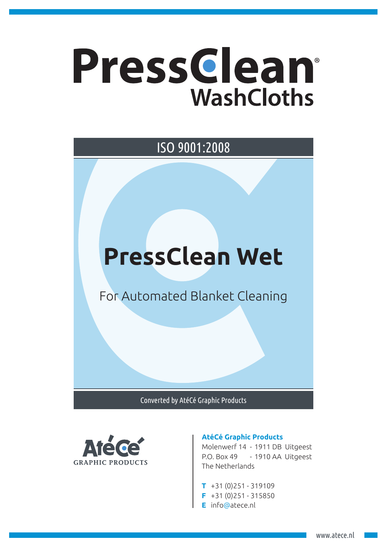## Pressclean® **WashCloths**

## **PressClean Wet** For Automated Blanket Cleaning ISO 9001:2008

Converted by AtéCé Graphic Products



## **AtéCé Graphic Products**

Molenwerf 14 - 1911 DB Uitgeest P.O. Box 49 - 1910 AA Uitgeest The Netherlands

- **T** +31 (0)251 319109
- **F** +31 (0)251 315850
- **E** info@atece.nl